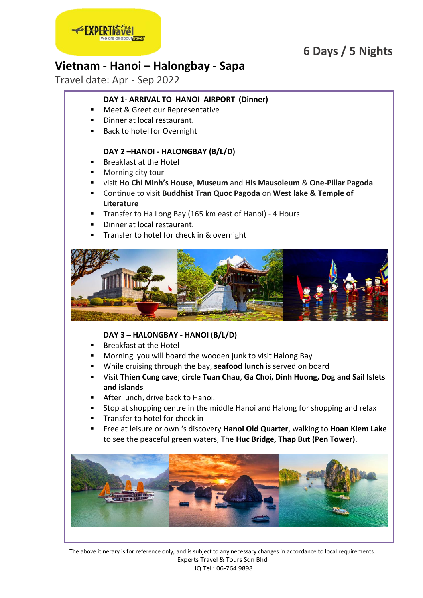## **6 Days / 5 Nights**



## **Vietnam - Hanoi – Halongbay - Sapa**

Travel date: Apr - Sep 2022

## **DAY 1- ARRIVAL TO HANOI AIRPORT (Dinner)**

- Meet & Greet our Representative
- **Dinner at local restaurant.**
- Back to hotel for Overnight

### **DAY 2 –HANOI - HALONGBAY (B/L/D)**

- Breakfast at the Hotel
- Morning city tour
- visit **Ho Chi Minh's House**, **Museum** and **His Mausoleum** & **One-Pillar Pagoda**.
- Continue to visit **Buddhist Tran Quoc Pagoda** on **West lake & Temple of Literature**
- **Transfer to Ha Long Bay (165 km east of Hanoi) 4 Hours**
- Dinner at local restaurant.
- Transfer to hotel for check in & overnight



### **DAY 3 – HALONGBAY - HANOI (B/L/D)**

- Breakfast at the Hotel
- Morning you will board the wooden junk to visit Halong Bay
- While cruising through the bay, **seafood lunch** is served on board
- Visit **Thien Cung cave**; **circle Tuan Chau**, **Ga Choi, Dinh Huong, Dog and Sail Islets and islands**
- **After lunch, drive back to Hanoi.**
- Stop at shopping centre in the middle Hanoi and Halong for shopping and relax
- Transfer to hotel for check in
- Free at leisure or own 's discovery **Hanoi Old Quarter**, walking to **Hoan Kiem Lake** to see the peaceful green waters, The **Huc Bridge, Thap But (Pen Tower)**.

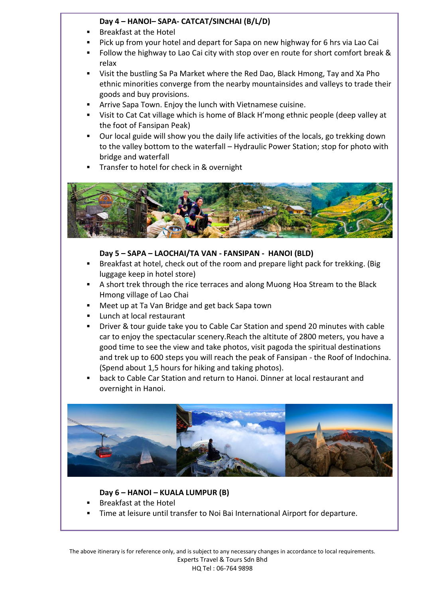### **Day 4 – HANOI– SAPA- CATCAT/SINCHAI (B/L/D)**

- Breakfast at the Hotel
- Pick up from your hotel and depart for Sapa on new highway for 6 hrs via Lao Cai
- Follow the highway to Lao Cai city with stop over en route for short comfort break & relax
- Visit the bustling Sa Pa Market where the Red Dao, Black Hmong, Tay and Xa Pho ethnic minorities converge from the nearby mountainsides and valleys to trade their goods and buy provisions.
- Arrive Sapa Town. Enjoy the lunch with Vietnamese cuisine.
- Visit to Cat Cat village which is home of Black H'mong ethnic people (deep valley at the foot of Fansipan Peak)
- Our local guide will show you the daily life activities of the locals, go trekking down to the valley bottom to the waterfall – Hydraulic Power Station; stop for photo with bridge and waterfall
- Transfer to hotel for check in & overnight



### **Day 5 – SAPA – LAOCHAI/TA VAN - FANSIPAN - HANOI (BLD)**

- Breakfast at hotel, check out of the room and prepare light pack for trekking. (Big luggage keep in hotel store)
- A short trek through the rice terraces and along Muong Hoa Stream to the Black Hmong village of Lao Chai
- Meet up at Ta Van Bridge and get back Sapa town
- **Lunch at local restaurant**
- Driver & tour guide take you to Cable Car Station and spend 20 minutes with cable car to enjoy the spectacular scenery.Reach the altitute of 2800 meters, you have a good time to see the view and take photos, visit pagoda the spiritual destinations and trek up to 600 steps you will reach the peak of Fansipan - the Roof of Indochina. (Spend about 1,5 hours for hiking and taking photos).
- back to Cable Car Station and return to Hanoi. Dinner at local restaurant and overnight in Hanoi.



### **Day 6 – HANOI – KUALA LUMPUR (B)**

- Breakfast at the Hotel
- Time at leisure until transfer to Noi Bai International Airport for departure.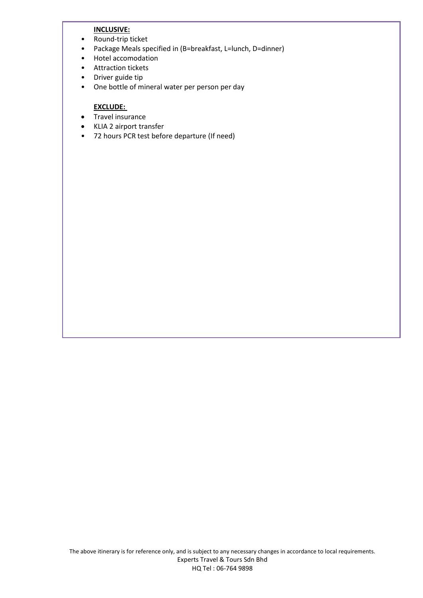#### **INCLUSIVE:**

- Round-trip ticket
- Package Meals specified in (B=breakfast, L=lunch, D=dinner)
- Hotel accomodation
- Attraction tickets
- Driver guide tip
- One bottle of mineral water per person per day

### **EXCLUDE:**

- **•** Travel insurance
- KLIA 2 airport transfer
- 72 hours PCR test before departure (If need)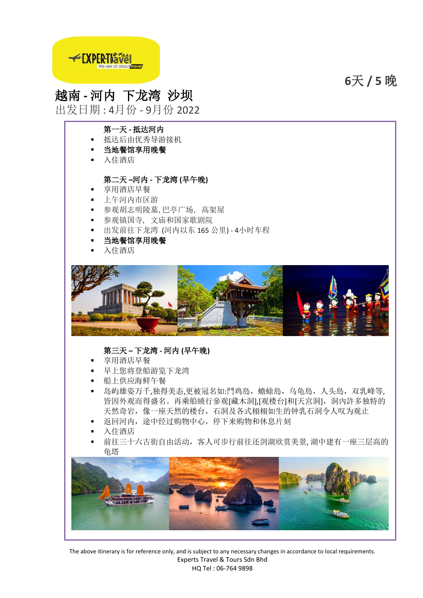**6**天 **/ 5** 晚



# 越南 **-** 河内 下龙湾 沙坝

出发日期 : 4月份 - 9月份 2022

### 第一天 **-** 抵达河内

- 抵达后由优秀导游接机
- 当地餐馆享用晚餐
- 入住酒店

### 第二天 **–**河内 **-** 下龙湾 **(**早午晚**)**

- 享用酒店早餐
- 上午河内市区游
- 参观胡志明陵墓,巴亭广场, 高架屋
- 参观镇国寺, 文庙和国家歌剧院
- 出发前往下龙湾 (河内以东 165 公里) 4小时车程
- 当地餐馆享用晚餐
- 入住酒店



### 第三天 **–** 下龙湾 **-** 河内 **(**早午晚**)**

- 享用酒店早餐
- 早上您将登船游览下龙湾
- 船上供应海鲜午餐
- 岛屿雄姿万千,独得美态,更被冠名如:鬥鸡島,蟾蜍島,乌龟島,人头島,双乳峰等, 皆因外观而得盛名。再乘船繞行參观[藏木洞],[观楼台]和[天宮洞], 洞内許多独特的 天然奇岩,像一座天然的楼台,石洞及各式栩栩如生的钟乳石洞令人叹为观止
- 返回河内,途中经过购物中心,停下来购物和休息片刻
- 入住酒店
- 前往三十六古街自由活动,客人可步行前往还剑湖欣赏美景, 湖中建有一座三层高的 龟塔



The above itinerary is for reference only, and is subject to any necessary changes in accordance to local requirements. Experts Travel & Tours Sdn Bhd HQ Tel : 06-764 9898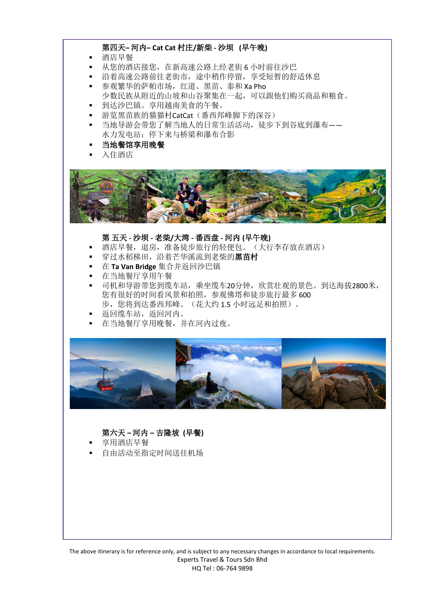### 第四天**–** 河内**– Cat Cat** 村庄**/**新柴 **-** 沙坝 **(**早午晚**)**

- 酒店早餐
- 从您的酒店接您,在新高速公路上经老街 6 小时前往沙巴
- 沿着高速公路前往老街市,途中稍作停留,享受短暂的舒适休息
- 参观繁华的萨帕市场,红道、黑苗、泰和 Xa Pho 少数民族从附近的山坡和山谷聚集在一起,可以跟他们购买商品和粮食。
- 到达沙巴镇。享用越南美食的午餐。
- 游览黑苗族的猫猫村CatCat(番西邦峰脚下的深谷)
- 当地导游会带您了解当地人的日常生活活动,徒步下到谷底到瀑布—— 水力发电站;停下来与桥梁和瀑布合影
- 当地餐馆享用晚餐
- 入住酒店



#### 第 五天 **-** 沙坝 **-** 老柴**/**大湾 **-** 番西盘 **-** 河内 **(**早午晚**)**

- 酒店早餐,退房,准备徒步旅行的轻便包。(大行李存放在酒店)
- 穿过水稻梯田,沿着芒华溪流到老柴的黑苗村
- 在 **Ta Van Bridge** 集合并返回沙巴镇
- 在当地餐厅享用午餐
- 司机和导游带您到缆车站,乘坐缆车20分钟,欣赏壮观的景色。到达海拔2800米, 您有很好的时间看风景和拍照,参观佛塔和徒步旅行最多 600 步,您将到达番西邦峰。(花大约 1.5 小时远足和拍照)。
- 返回缆车站,返回河内。
- 在当地餐厅享用晚餐,并在河内过夜。



### 第六天 **–** 河内 **–** 吉隆坡 **(**早餐**)**

- 享用酒店早餐
- 自由活动至指定时间送往机场